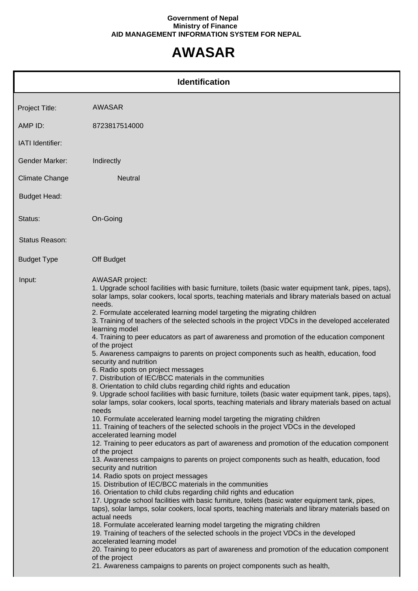## **Government of Nepal Ministry of Finance AID MANAGEMENT INFORMATION SYSTEM FOR NEPAL**

## **AWASAR**

|                       | <b>Identification</b>                                                                                                                                                                                                                                                                                                                                                                                                                                                                                                                                                                                                                                                                                                                                                                                                                                                                                                                                                                                                                                                                                                                                                                                                                                                                                                                                                                                                                                                                                                                                                                                                                                                                                                                                                                                                                                                                                                                                                                                                                                                                                                                                                                                                                                                                                                                   |
|-----------------------|-----------------------------------------------------------------------------------------------------------------------------------------------------------------------------------------------------------------------------------------------------------------------------------------------------------------------------------------------------------------------------------------------------------------------------------------------------------------------------------------------------------------------------------------------------------------------------------------------------------------------------------------------------------------------------------------------------------------------------------------------------------------------------------------------------------------------------------------------------------------------------------------------------------------------------------------------------------------------------------------------------------------------------------------------------------------------------------------------------------------------------------------------------------------------------------------------------------------------------------------------------------------------------------------------------------------------------------------------------------------------------------------------------------------------------------------------------------------------------------------------------------------------------------------------------------------------------------------------------------------------------------------------------------------------------------------------------------------------------------------------------------------------------------------------------------------------------------------------------------------------------------------------------------------------------------------------------------------------------------------------------------------------------------------------------------------------------------------------------------------------------------------------------------------------------------------------------------------------------------------------------------------------------------------------------------------------------------------|
| Project Title:        | <b>AWASAR</b>                                                                                                                                                                                                                                                                                                                                                                                                                                                                                                                                                                                                                                                                                                                                                                                                                                                                                                                                                                                                                                                                                                                                                                                                                                                                                                                                                                                                                                                                                                                                                                                                                                                                                                                                                                                                                                                                                                                                                                                                                                                                                                                                                                                                                                                                                                                           |
| AMP ID:               | 8723817514000                                                                                                                                                                                                                                                                                                                                                                                                                                                                                                                                                                                                                                                                                                                                                                                                                                                                                                                                                                                                                                                                                                                                                                                                                                                                                                                                                                                                                                                                                                                                                                                                                                                                                                                                                                                                                                                                                                                                                                                                                                                                                                                                                                                                                                                                                                                           |
| IATI Identifier:      |                                                                                                                                                                                                                                                                                                                                                                                                                                                                                                                                                                                                                                                                                                                                                                                                                                                                                                                                                                                                                                                                                                                                                                                                                                                                                                                                                                                                                                                                                                                                                                                                                                                                                                                                                                                                                                                                                                                                                                                                                                                                                                                                                                                                                                                                                                                                         |
| <b>Gender Marker:</b> | Indirectly                                                                                                                                                                                                                                                                                                                                                                                                                                                                                                                                                                                                                                                                                                                                                                                                                                                                                                                                                                                                                                                                                                                                                                                                                                                                                                                                                                                                                                                                                                                                                                                                                                                                                                                                                                                                                                                                                                                                                                                                                                                                                                                                                                                                                                                                                                                              |
| <b>Climate Change</b> | <b>Neutral</b>                                                                                                                                                                                                                                                                                                                                                                                                                                                                                                                                                                                                                                                                                                                                                                                                                                                                                                                                                                                                                                                                                                                                                                                                                                                                                                                                                                                                                                                                                                                                                                                                                                                                                                                                                                                                                                                                                                                                                                                                                                                                                                                                                                                                                                                                                                                          |
| <b>Budget Head:</b>   |                                                                                                                                                                                                                                                                                                                                                                                                                                                                                                                                                                                                                                                                                                                                                                                                                                                                                                                                                                                                                                                                                                                                                                                                                                                                                                                                                                                                                                                                                                                                                                                                                                                                                                                                                                                                                                                                                                                                                                                                                                                                                                                                                                                                                                                                                                                                         |
| Status:               | On-Going                                                                                                                                                                                                                                                                                                                                                                                                                                                                                                                                                                                                                                                                                                                                                                                                                                                                                                                                                                                                                                                                                                                                                                                                                                                                                                                                                                                                                                                                                                                                                                                                                                                                                                                                                                                                                                                                                                                                                                                                                                                                                                                                                                                                                                                                                                                                |
| <b>Status Reason:</b> |                                                                                                                                                                                                                                                                                                                                                                                                                                                                                                                                                                                                                                                                                                                                                                                                                                                                                                                                                                                                                                                                                                                                                                                                                                                                                                                                                                                                                                                                                                                                                                                                                                                                                                                                                                                                                                                                                                                                                                                                                                                                                                                                                                                                                                                                                                                                         |
| <b>Budget Type</b>    | Off Budget                                                                                                                                                                                                                                                                                                                                                                                                                                                                                                                                                                                                                                                                                                                                                                                                                                                                                                                                                                                                                                                                                                                                                                                                                                                                                                                                                                                                                                                                                                                                                                                                                                                                                                                                                                                                                                                                                                                                                                                                                                                                                                                                                                                                                                                                                                                              |
| Input:                | <b>AWASAR</b> project:<br>1. Upgrade school facilities with basic furniture, toilets (basic water equipment tank, pipes, taps),<br>solar lamps, solar cookers, local sports, teaching materials and library materials based on actual<br>needs.<br>2. Formulate accelerated learning model targeting the migrating children<br>3. Training of teachers of the selected schools in the project VDCs in the developed accelerated<br>learning model<br>4. Training to peer educators as part of awareness and promotion of the education component<br>of the project<br>5. Awareness campaigns to parents on project components such as health, education, food<br>security and nutrition<br>6. Radio spots on project messages<br>7. Distribution of IEC/BCC materials in the communities<br>8. Orientation to child clubs regarding child rights and education<br>9. Upgrade school facilities with basic furniture, toilets (basic water equipment tank, pipes, taps),<br>solar lamps, solar cookers, local sports, teaching materials and library materials based on actual<br>needs<br>10. Formulate accelerated learning model targeting the migrating children<br>11. Training of teachers of the selected schools in the project VDCs in the developed<br>accelerated learning model<br>12. Training to peer educators as part of awareness and promotion of the education component<br>of the project<br>13. Awareness campaigns to parents on project components such as health, education, food<br>security and nutrition<br>14. Radio spots on project messages<br>15. Distribution of IEC/BCC materials in the communities<br>16. Orientation to child clubs regarding child rights and education<br>17. Upgrade school facilities with basic furniture, toilets (basic water equipment tank, pipes,<br>taps), solar lamps, solar cookers, local sports, teaching materials and library materials based on<br>actual needs<br>18. Formulate accelerated learning model targeting the migrating children<br>19. Training of teachers of the selected schools in the project VDCs in the developed<br>accelerated learning model<br>20. Training to peer educators as part of awareness and promotion of the education component<br>of the project<br>21. Awareness campaigns to parents on project components such as health, |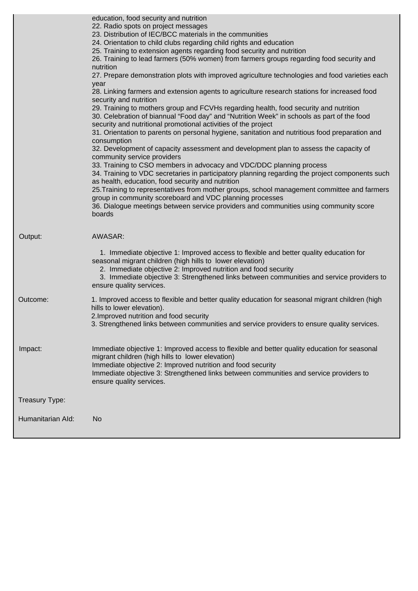|                | education, food security and nutrition<br>22. Radio spots on project messages<br>23. Distribution of IEC/BCC materials in the communities<br>24. Orientation to child clubs regarding child rights and education<br>25. Training to extension agents regarding food security and nutrition<br>26. Training to lead farmers (50% women) from farmers groups regarding food security and<br>nutrition<br>27. Prepare demonstration plots with improved agriculture technologies and food varieties each                                                                                                    |
|----------------|----------------------------------------------------------------------------------------------------------------------------------------------------------------------------------------------------------------------------------------------------------------------------------------------------------------------------------------------------------------------------------------------------------------------------------------------------------------------------------------------------------------------------------------------------------------------------------------------------------|
|                | year<br>28. Linking farmers and extension agents to agriculture research stations for increased food<br>security and nutrition<br>29. Training to mothers group and FCVHs regarding health, food security and nutrition<br>30. Celebration of biannual "Food day" and "Nutrition Week" in schools as part of the food<br>security and nutritional promotional activities of the project<br>31. Orientation to parents on personal hygiene, sanitation and nutritious food preparation and<br>consumption                                                                                                 |
|                | 32. Development of capacity assessment and development plan to assess the capacity of<br>community service providers<br>33. Training to CSO members in advocacy and VDC/DDC planning process<br>34. Training to VDC secretaries in participatory planning regarding the project components such<br>as health, education, food security and nutrition<br>25. Training to representatives from mother groups, school management committee and farmers<br>group in community scoreboard and VDC planning processes<br>36. Dialogue meetings between service providers and communities using community score |
|                | boards                                                                                                                                                                                                                                                                                                                                                                                                                                                                                                                                                                                                   |
| Output:        | AWASAR:<br>1. Immediate objective 1: Improved access to flexible and better quality education for<br>seasonal migrant children (high hills to lower elevation)<br>2. Immediate objective 2: Improved nutrition and food security                                                                                                                                                                                                                                                                                                                                                                         |
|                | 3. Immediate objective 3: Strengthened links between communities and service providers to<br>ensure quality services.                                                                                                                                                                                                                                                                                                                                                                                                                                                                                    |
| Outcome:       | 1. Improved access to flexible and better quality education for seasonal migrant children (high<br>hills to lower elevation).<br>2. Improved nutrition and food security<br>3. Strengthened links between communities and service providers to ensure quality services.                                                                                                                                                                                                                                                                                                                                  |
| Impact:        | Immediate objective 1: Improved access to flexible and better quality education for seasonal<br>migrant children (high hills to lower elevation)<br>Immediate objective 2: Improved nutrition and food security<br>Immediate objective 3: Strengthened links between communities and service providers to<br>ensure quality services.                                                                                                                                                                                                                                                                    |
| Treasury Type: |                                                                                                                                                                                                                                                                                                                                                                                                                                                                                                                                                                                                          |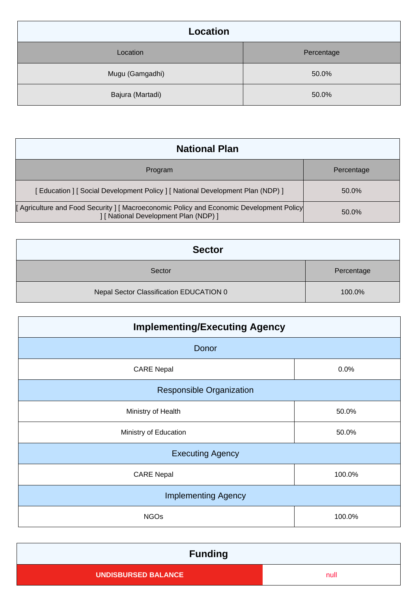| <b>Location</b>  |            |
|------------------|------------|
| Location         | Percentage |
| Mugu (Gamgadhi)  | 50.0%      |
| Bajura (Martadi) | 50.0%      |

| <b>National Plan</b>                                                                                                           |            |
|--------------------------------------------------------------------------------------------------------------------------------|------------|
| Program                                                                                                                        | Percentage |
| [Education ] [Social Development Policy ] [National Development Plan (NDP) ]                                                   | 50.0%      |
| [Agriculture and Food Security] [Macroeconomic Policy and Economic Development Policy<br>I [ National Development Plan (NDP) ] | 50.0%      |

| <b>Sector</b>                           |            |  |
|-----------------------------------------|------------|--|
| Sector                                  | Percentage |  |
| Nepal Sector Classification EDUCATION 0 | 100.0%     |  |

| <b>Implementing/Executing Agency</b> |        |  |
|--------------------------------------|--------|--|
| Donor                                |        |  |
| <b>CARE Nepal</b>                    | 0.0%   |  |
| <b>Responsible Organization</b>      |        |  |
| Ministry of Health                   | 50.0%  |  |
| Ministry of Education                | 50.0%  |  |
| <b>Executing Agency</b>              |        |  |
| <b>CARE Nepal</b>                    | 100.0% |  |
| <b>Implementing Agency</b>           |        |  |
| <b>NGOs</b>                          | 100.0% |  |

| <b>Funding</b>             |      |
|----------------------------|------|
| <b>UNDISBURSED BALANCE</b> | null |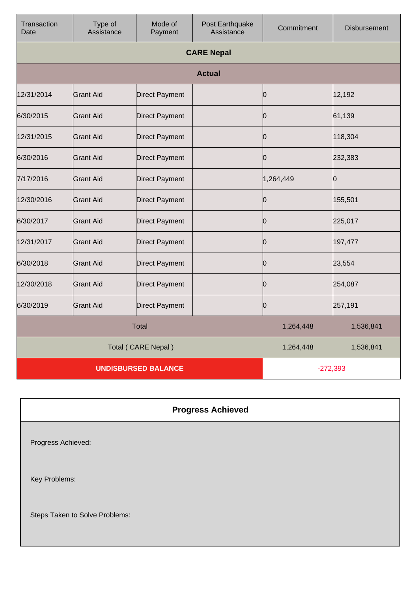| Transaction<br>Date        | Type of<br>Assistance | Mode of<br>Payment    | Post Earthquake<br>Assistance | Commitment | <b>Disbursement</b> |
|----------------------------|-----------------------|-----------------------|-------------------------------|------------|---------------------|
|                            |                       |                       | <b>CARE Nepal</b>             |            |                     |
|                            |                       |                       | <b>Actual</b>                 |            |                     |
| 12/31/2014                 | <b>Grant Aid</b>      | <b>Direct Payment</b> |                               | Ю          | 12,192              |
| 6/30/2015                  | lGrant Aid            | <b>Direct Payment</b> |                               | Ю          | 61,139              |
| 12/31/2015                 | <b>Grant Aid</b>      | <b>Direct Payment</b> |                               | 0          | 118,304             |
| 6/30/2016                  | Grant Aid             | <b>Direct Payment</b> |                               | Ю          | 232,383             |
| 7/17/2016                  | <b>Grant Aid</b>      | <b>Direct Payment</b> |                               | 1,264,449  | 0                   |
| 12/30/2016                 | <b>Grant Aid</b>      | <b>Direct Payment</b> |                               | Ю          | 155,501             |
| 6/30/2017                  | <b>Grant Aid</b>      | <b>Direct Payment</b> |                               | O          | 225,017             |
| 12/31/2017                 | <b>Grant Aid</b>      | <b>Direct Payment</b> |                               | Ю          | 197,477             |
| 6/30/2018                  | <b>Grant Aid</b>      | <b>Direct Payment</b> |                               | Ŋ          | 23,554              |
| 12/30/2018                 | <b>Grant Aid</b>      | <b>Direct Payment</b> |                               | Ю          | 254,087             |
| 6/30/2019                  | <b>Grant Aid</b>      | <b>Direct Payment</b> |                               | Ю          | 257,191             |
| <b>Total</b>               |                       |                       | 1,264,448                     | 1,536,841  |                     |
| Total (CARE Nepal)         |                       |                       | 1,264,448                     | 1,536,841  |                     |
| <b>UNDISBURSED BALANCE</b> |                       |                       | $-272,393$                    |            |                     |

## **Progress Achieved**

Progress Achieved:

Key Problems:

Steps Taken to Solve Problems: